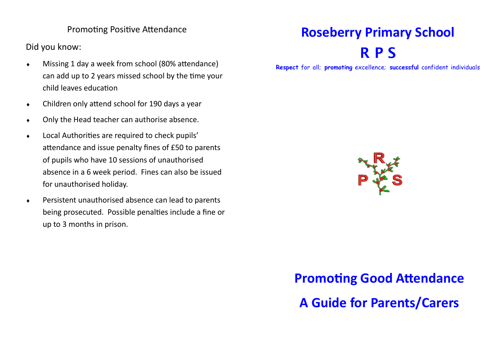### Promoting Positive Attendance

Did you know:

- Missing 1 day a week from school (80% attendance) can add up to 2 years missed school by the time your child leaves education
- Children only attend school for 190 days a year
- Only the Head teacher can authorise absence.
- Local Authorities are required to check pupils' attendance and issue penalty fines of £50 to parents of pupils who have 10 sessions of unauthorised absence in a 6 week period. Fines can also be issued for unauthorised holiday.
- Persistent unauthorised absence can lead to parents being prosecuted. Possible penalties include a fine or up to 3 months in prison.

## **Roseberry Primary School R P S**

**Respect** for all; **promoting** excellence; **successful** confident individuals



# **Promoting Good Attendance A Guide for Parents/Carers**